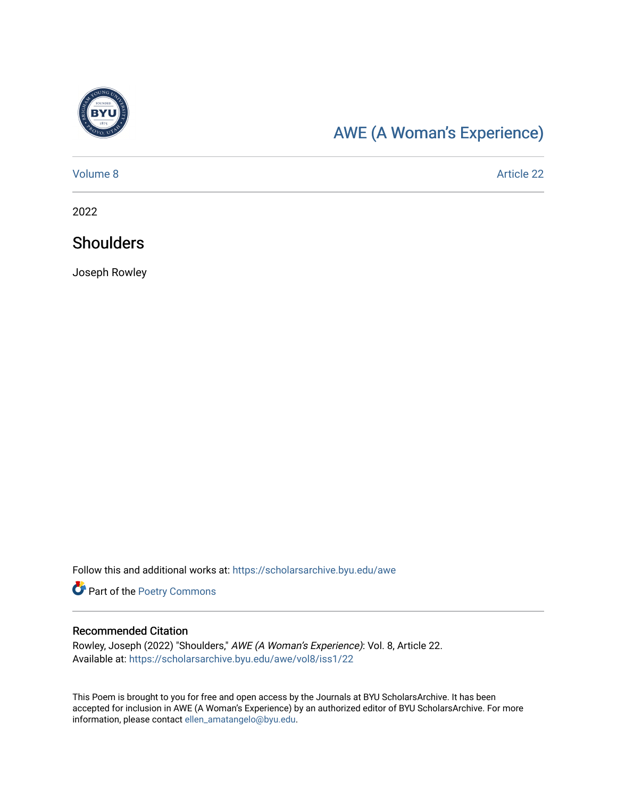

# [AWE \(A Woman's Experience\)](https://scholarsarchive.byu.edu/awe)

[Volume 8](https://scholarsarchive.byu.edu/awe/vol8) Article 22

2022

# **Shoulders**

Joseph Rowley

Follow this and additional works at: [https://scholarsarchive.byu.edu/awe](https://scholarsarchive.byu.edu/awe?utm_source=scholarsarchive.byu.edu%2Fawe%2Fvol8%2Fiss1%2F22&utm_medium=PDF&utm_campaign=PDFCoverPages)

Part of the [Poetry Commons](https://network.bepress.com/hgg/discipline/1153?utm_source=scholarsarchive.byu.edu%2Fawe%2Fvol8%2Fiss1%2F22&utm_medium=PDF&utm_campaign=PDFCoverPages) 

### Recommended Citation

Rowley, Joseph (2022) "Shoulders," AWE (A Woman's Experience): Vol. 8, Article 22. Available at: [https://scholarsarchive.byu.edu/awe/vol8/iss1/22](https://scholarsarchive.byu.edu/awe/vol8/iss1/22?utm_source=scholarsarchive.byu.edu%2Fawe%2Fvol8%2Fiss1%2F22&utm_medium=PDF&utm_campaign=PDFCoverPages) 

This Poem is brought to you for free and open access by the Journals at BYU ScholarsArchive. It has been accepted for inclusion in AWE (A Woman's Experience) by an authorized editor of BYU ScholarsArchive. For more information, please contact [ellen\\_amatangelo@byu.edu.](mailto:ellen_amatangelo@byu.edu)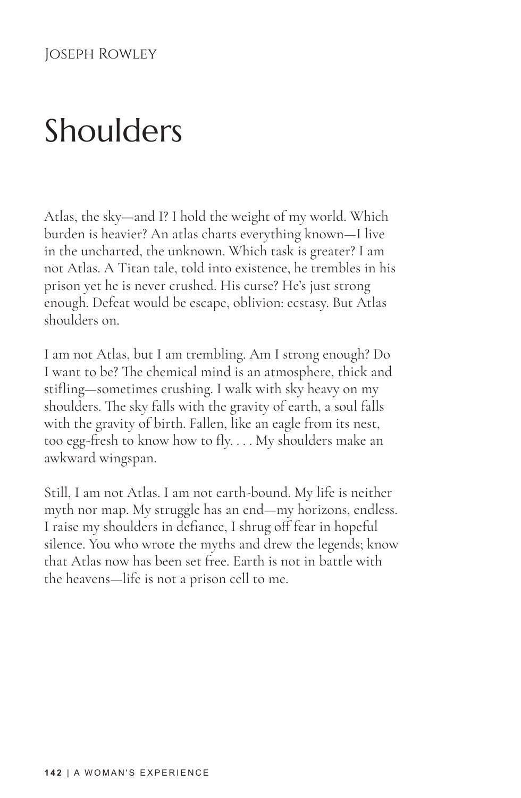# Shoulders

Atlas, the sky—and I? I hold the weight of my world. Which burden is heavier? An atlas charts everything known—I live in the uncharted, the unknown. Which task is greater? I am not Atlas. A Titan tale, told into existence, he trembles in his prison yet he is never crushed. His curse? He's just strong enough. Defeat would be escape, oblivion: ecstasy. But Atlas shoulders on.

I am not Atlas, but I am trembling. Am I strong enough? Do I want to be? The chemical mind is an atmosphere, thick and stifling—sometimes crushing. I walk with sky heavy on my shoulders. The sky falls with the gravity of earth, a soul falls with the gravity of birth. Fallen, like an eagle from its nest, too egg-fresh to know how to fly. . . . My shoulders make an awkward wingspan.

Still, I am not Atlas. I am not earth-bound. My life is neither myth nor map. My struggle has an end—my horizons, endless. I raise my shoulders in defiance, I shrug off fear in hopeful silence. You who wrote the myths and drew the legends; know that Atlas now has been set free. Earth is not in battle with the heavens—life is not a prison cell to me.